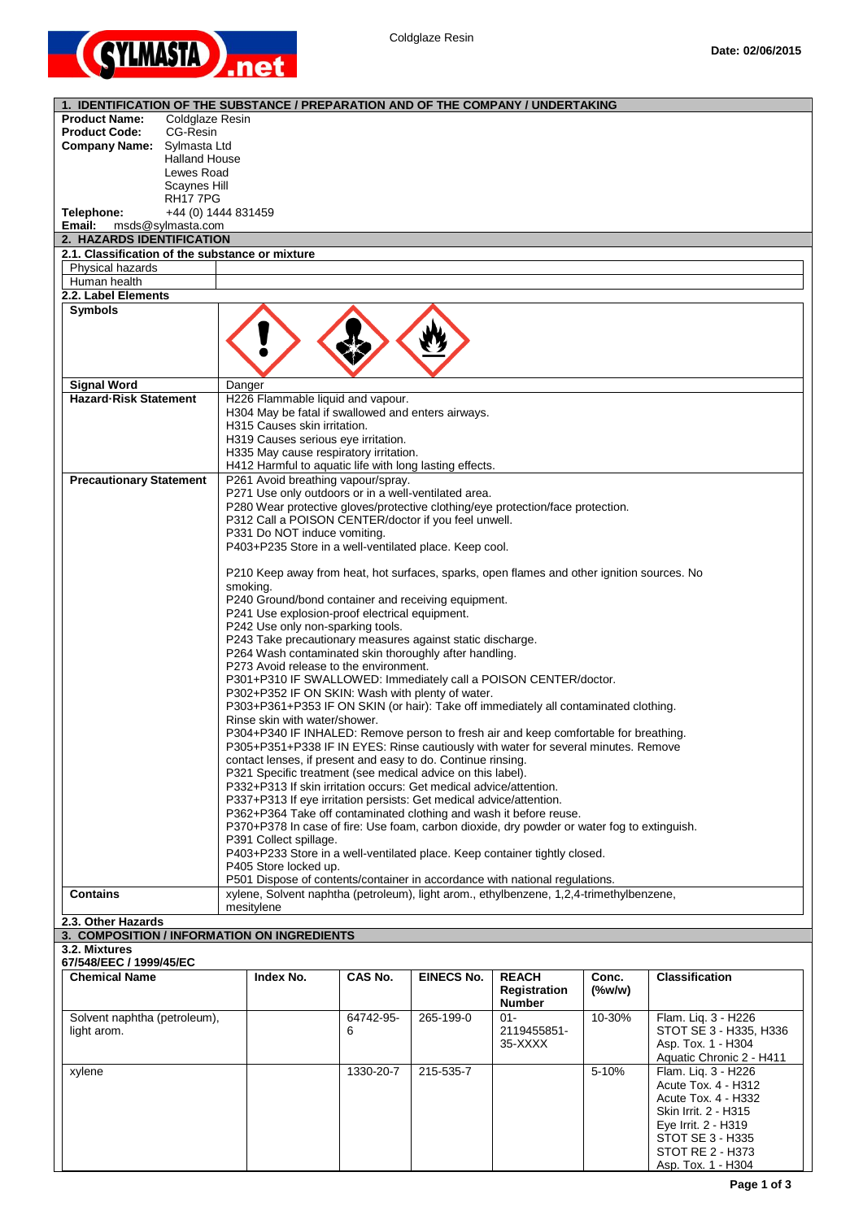

| 1. IDENTIFICATION OF THE SUBSTANCE / PREPARATION AND OF THE COMPANY / UNDERTAKING |                                                                                                                                                                            |           |                   |                        |           |                                              |
|-----------------------------------------------------------------------------------|----------------------------------------------------------------------------------------------------------------------------------------------------------------------------|-----------|-------------------|------------------------|-----------|----------------------------------------------|
| <b>Product Name:</b><br><b>Coldglaze Resin</b>                                    |                                                                                                                                                                            |           |                   |                        |           |                                              |
| <b>Product Code:</b><br>CG-Resin                                                  |                                                                                                                                                                            |           |                   |                        |           |                                              |
| Company Name: Sylmasta Ltd                                                        |                                                                                                                                                                            |           |                   |                        |           |                                              |
| <b>Halland House</b>                                                              |                                                                                                                                                                            |           |                   |                        |           |                                              |
| Lewes Road                                                                        |                                                                                                                                                                            |           |                   |                        |           |                                              |
| Scaynes Hill                                                                      |                                                                                                                                                                            |           |                   |                        |           |                                              |
| <b>RH177PG</b>                                                                    |                                                                                                                                                                            |           |                   |                        |           |                                              |
| Telephone:<br>Email:<br>msds@sylmasta.com                                         | +44 (0) 1444 831459                                                                                                                                                        |           |                   |                        |           |                                              |
| 2. HAZARDS IDENTIFICATION                                                         |                                                                                                                                                                            |           |                   |                        |           |                                              |
| 2.1. Classification of the substance or mixture                                   |                                                                                                                                                                            |           |                   |                        |           |                                              |
| Physical hazards                                                                  |                                                                                                                                                                            |           |                   |                        |           |                                              |
| Human health                                                                      |                                                                                                                                                                            |           |                   |                        |           |                                              |
| 2.2. Label Elements                                                               |                                                                                                                                                                            |           |                   |                        |           |                                              |
| <b>Symbols</b>                                                                    |                                                                                                                                                                            |           |                   |                        |           |                                              |
|                                                                                   |                                                                                                                                                                            |           |                   |                        |           |                                              |
|                                                                                   |                                                                                                                                                                            |           |                   |                        |           |                                              |
|                                                                                   |                                                                                                                                                                            |           |                   |                        |           |                                              |
|                                                                                   |                                                                                                                                                                            |           |                   |                        |           |                                              |
| <b>Signal Word</b>                                                                | Danger                                                                                                                                                                     |           |                   |                        |           |                                              |
| <b>Hazard-Risk Statement</b>                                                      | H226 Flammable liquid and vapour.                                                                                                                                          |           |                   |                        |           |                                              |
|                                                                                   | H304 May be fatal if swallowed and enters airways.                                                                                                                         |           |                   |                        |           |                                              |
|                                                                                   | H315 Causes skin irritation.                                                                                                                                               |           |                   |                        |           |                                              |
|                                                                                   | H319 Causes serious eye irritation.                                                                                                                                        |           |                   |                        |           |                                              |
|                                                                                   | H335 May cause respiratory irritation.                                                                                                                                     |           |                   |                        |           |                                              |
|                                                                                   | H412 Harmful to aquatic life with long lasting effects.                                                                                                                    |           |                   |                        |           |                                              |
| <b>Precautionary Statement</b>                                                    | P261 Avoid breathing vapour/spray.                                                                                                                                         |           |                   |                        |           |                                              |
|                                                                                   | P271 Use only outdoors or in a well-ventilated area.                                                                                                                       |           |                   |                        |           |                                              |
|                                                                                   | P280 Wear protective gloves/protective clothing/eye protection/face protection.<br>P312 Call a POISON CENTER/doctor if you feel unwell.                                    |           |                   |                        |           |                                              |
|                                                                                   | P331 Do NOT induce vomiting.                                                                                                                                               |           |                   |                        |           |                                              |
|                                                                                   | P403+P235 Store in a well-ventilated place. Keep cool.                                                                                                                     |           |                   |                        |           |                                              |
|                                                                                   |                                                                                                                                                                            |           |                   |                        |           |                                              |
|                                                                                   | P210 Keep away from heat, hot surfaces, sparks, open flames and other ignition sources. No                                                                                 |           |                   |                        |           |                                              |
|                                                                                   | smoking.                                                                                                                                                                   |           |                   |                        |           |                                              |
|                                                                                   | P240 Ground/bond container and receiving equipment.                                                                                                                        |           |                   |                        |           |                                              |
|                                                                                   | P241 Use explosion-proof electrical equipment.                                                                                                                             |           |                   |                        |           |                                              |
|                                                                                   | P242 Use only non-sparking tools.                                                                                                                                          |           |                   |                        |           |                                              |
|                                                                                   | P243 Take precautionary measures against static discharge.                                                                                                                 |           |                   |                        |           |                                              |
|                                                                                   | P264 Wash contaminated skin thoroughly after handling.                                                                                                                     |           |                   |                        |           |                                              |
|                                                                                   | P273 Avoid release to the environment.<br>P301+P310 IF SWALLOWED: Immediately call a POISON CENTER/doctor.                                                                 |           |                   |                        |           |                                              |
|                                                                                   |                                                                                                                                                                            |           |                   |                        |           |                                              |
|                                                                                   | P302+P352 IF ON SKIN: Wash with plenty of water.                                                                                                                           |           |                   |                        |           |                                              |
|                                                                                   | P303+P361+P353 IF ON SKIN (or hair): Take off immediately all contaminated clothing.<br>Rinse skin with water/shower.                                                      |           |                   |                        |           |                                              |
|                                                                                   |                                                                                                                                                                            |           |                   |                        |           |                                              |
|                                                                                   | P304+P340 IF INHALED: Remove person to fresh air and keep comfortable for breathing.<br>P305+P351+P338 IF IN EYES: Rinse cautiously with water for several minutes. Remove |           |                   |                        |           |                                              |
|                                                                                   | contact lenses, if present and easy to do. Continue rinsing.                                                                                                               |           |                   |                        |           |                                              |
|                                                                                   | P321 Specific treatment (see medical advice on this label).                                                                                                                |           |                   |                        |           |                                              |
|                                                                                   | P332+P313 If skin irritation occurs: Get medical advice/attention.                                                                                                         |           |                   |                        |           |                                              |
|                                                                                   | P337+P313 If eye irritation persists: Get medical advice/attention.                                                                                                        |           |                   |                        |           |                                              |
|                                                                                   | P362+P364 Take off contaminated clothing and wash it before reuse.                                                                                                         |           |                   |                        |           |                                              |
|                                                                                   | P370+P378 In case of fire: Use foam, carbon dioxide, dry powder or water fog to extinguish.                                                                                |           |                   |                        |           |                                              |
|                                                                                   | P391 Collect spillage.                                                                                                                                                     |           |                   |                        |           |                                              |
|                                                                                   | P403+P233 Store in a well-ventilated place. Keep container tightly closed.<br>P405 Store locked up.                                                                        |           |                   |                        |           |                                              |
|                                                                                   | P501 Dispose of contents/container in accordance with national regulations.                                                                                                |           |                   |                        |           |                                              |
| <b>Contains</b>                                                                   | xylene, Solvent naphtha (petroleum), light arom., ethylbenzene, 1,2,4-trimethylbenzene,                                                                                    |           |                   |                        |           |                                              |
|                                                                                   | mesitylene                                                                                                                                                                 |           |                   |                        |           |                                              |
| 2.3. Other Hazards                                                                |                                                                                                                                                                            |           |                   |                        |           |                                              |
| 3. COMPOSITION / INFORMATION ON INGREDIENTS                                       |                                                                                                                                                                            |           |                   |                        |           |                                              |
| 3.2. Mixtures                                                                     |                                                                                                                                                                            |           |                   |                        |           |                                              |
| 67/548/EEC / 1999/45/EC                                                           |                                                                                                                                                                            |           |                   |                        |           |                                              |
| <b>Chemical Name</b>                                                              | Index No.                                                                                                                                                                  | CAS No.   | <b>EINECS No.</b> | <b>REACH</b>           | Conc.     | <b>Classification</b>                        |
|                                                                                   |                                                                                                                                                                            |           |                   | <b>Registration</b>    | $(\%w/w)$ |                                              |
|                                                                                   |                                                                                                                                                                            |           |                   | <b>Number</b>          |           |                                              |
| Solvent naphtha (petroleum),                                                      |                                                                                                                                                                            | 64742-95- | 265-199-0         | $01 -$                 | 10-30%    | Flam. Lig. 3 - H226                          |
| light arom.                                                                       |                                                                                                                                                                            | 6         |                   | 2119455851-<br>35-XXXX |           | STOT SE 3 - H335, H336<br>Asp. Tox. 1 - H304 |
|                                                                                   |                                                                                                                                                                            |           |                   |                        |           | Aquatic Chronic 2 - H411                     |
| xylene                                                                            |                                                                                                                                                                            | 1330-20-7 | 215-535-7         |                        | 5-10%     | Flam. Liq. 3 - H226                          |
|                                                                                   |                                                                                                                                                                            |           |                   |                        |           | Acute Tox. 4 - H312                          |
|                                                                                   |                                                                                                                                                                            |           |                   |                        |           | Acute Tox. 4 - H332                          |
|                                                                                   |                                                                                                                                                                            |           |                   |                        |           | Skin Irrit. 2 - H315                         |
|                                                                                   |                                                                                                                                                                            |           |                   |                        |           | Eye Irrit. 2 - H319                          |
|                                                                                   |                                                                                                                                                                            |           |                   |                        |           | STOT SE 3 - H335                             |
|                                                                                   |                                                                                                                                                                            |           |                   |                        |           | STOT RE 2 - H373                             |
|                                                                                   |                                                                                                                                                                            |           |                   |                        |           | Asp. Tox. 1 - H304                           |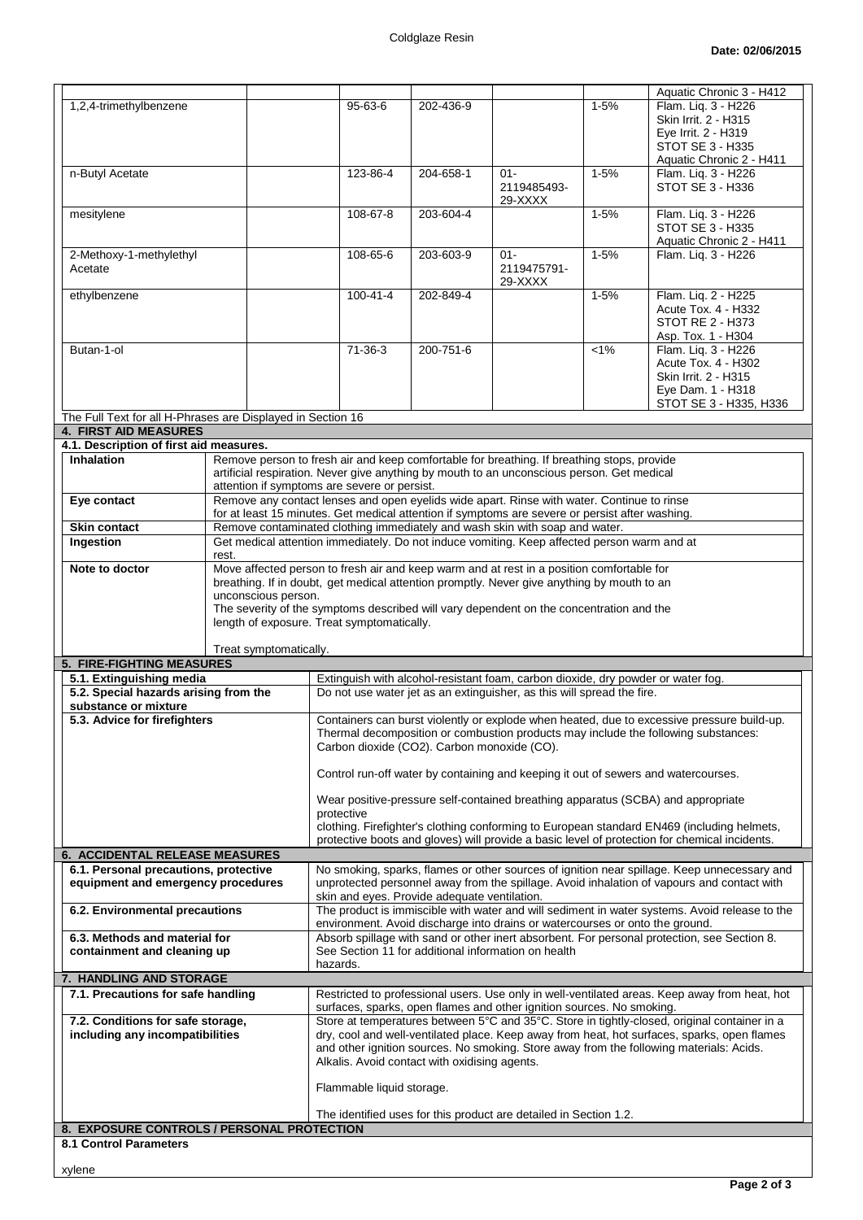|                                                                                           |                                                                                                                                                                                                                                                                                                                                                         |                                                                                                                                                                                |           |                                                                                                                                                            |          | Aquatic Chronic 3 - H412                                                                                                                                                                                                                                                               |
|-------------------------------------------------------------------------------------------|---------------------------------------------------------------------------------------------------------------------------------------------------------------------------------------------------------------------------------------------------------------------------------------------------------------------------------------------------------|--------------------------------------------------------------------------------------------------------------------------------------------------------------------------------|-----------|------------------------------------------------------------------------------------------------------------------------------------------------------------|----------|----------------------------------------------------------------------------------------------------------------------------------------------------------------------------------------------------------------------------------------------------------------------------------------|
| 1,2,4-trimethylbenzene                                                                    |                                                                                                                                                                                                                                                                                                                                                         | $95 - 63 - 6$                                                                                                                                                                  | 202-436-9 |                                                                                                                                                            | $1 - 5%$ | Flam. Lig. 3 - H226<br>Skin Irrit. 2 - H315<br>Eye Irrit. 2 - H319<br>STOT SE 3 - H335                                                                                                                                                                                                 |
|                                                                                           |                                                                                                                                                                                                                                                                                                                                                         |                                                                                                                                                                                |           |                                                                                                                                                            |          | Aquatic Chronic 2 - H411                                                                                                                                                                                                                                                               |
| n-Butyl Acetate                                                                           |                                                                                                                                                                                                                                                                                                                                                         | 123-86-4                                                                                                                                                                       | 204-658-1 | $01 -$<br>2119485493-<br>29-XXXX                                                                                                                           | $1 - 5%$ | Flam. Liq. 3 - H226<br>STOT SE 3 - H336                                                                                                                                                                                                                                                |
| mesitylene                                                                                |                                                                                                                                                                                                                                                                                                                                                         | 108-67-8                                                                                                                                                                       | 203-604-4 |                                                                                                                                                            | $1 - 5%$ | Flam. Lig. 3 - H226<br><b>STOT SE 3 - H335</b><br>Aquatic Chronic 2 - H411                                                                                                                                                                                                             |
| 2-Methoxy-1-methylethyl<br>Acetate                                                        |                                                                                                                                                                                                                                                                                                                                                         | 108-65-6                                                                                                                                                                       | 203-603-9 | $01 -$<br>2119475791-<br>29-XXXX                                                                                                                           | $1 - 5%$ | Flam. Liq. 3 - H226                                                                                                                                                                                                                                                                    |
| ethylbenzene                                                                              |                                                                                                                                                                                                                                                                                                                                                         | $100 - 41 - 4$                                                                                                                                                                 | 202-849-4 |                                                                                                                                                            | $1 - 5%$ | Flam. Liq. 2 - H225<br>Acute Tox. 4 - H332<br><b>STOT RE 2 - H373</b><br>Asp. Tox. 1 - H304                                                                                                                                                                                            |
| Butan-1-ol                                                                                |                                                                                                                                                                                                                                                                                                                                                         | $71-36-3$                                                                                                                                                                      | 200-751-6 |                                                                                                                                                            | $< 1\%$  | Flam. Liq. 3 - H226<br>Acute Tox. 4 - H302<br>Skin Irrit. 2 - H315<br>Eye Dam. 1 - H318<br>STOT SE 3 - H335, H336                                                                                                                                                                      |
| The Full Text for all H-Phrases are Displayed in Section 16                               |                                                                                                                                                                                                                                                                                                                                                         |                                                                                                                                                                                |           |                                                                                                                                                            |          |                                                                                                                                                                                                                                                                                        |
| <b>4. FIRST AID MEASURES</b><br>4.1. Description of first aid measures.                   |                                                                                                                                                                                                                                                                                                                                                         |                                                                                                                                                                                |           |                                                                                                                                                            |          |                                                                                                                                                                                                                                                                                        |
| <b>Inhalation</b>                                                                         |                                                                                                                                                                                                                                                                                                                                                         |                                                                                                                                                                                |           |                                                                                                                                                            |          |                                                                                                                                                                                                                                                                                        |
| Eye contact                                                                               | Remove person to fresh air and keep comfortable for breathing. If breathing stops, provide<br>artificial respiration. Never give anything by mouth to an unconscious person. Get medical<br>attention if symptoms are severe or persist.<br>Remove any contact lenses and open eyelids wide apart. Rinse with water. Continue to rinse                  |                                                                                                                                                                                |           |                                                                                                                                                            |          |                                                                                                                                                                                                                                                                                        |
|                                                                                           |                                                                                                                                                                                                                                                                                                                                                         |                                                                                                                                                                                |           |                                                                                                                                                            |          |                                                                                                                                                                                                                                                                                        |
| Skin contact                                                                              |                                                                                                                                                                                                                                                                                                                                                         | for at least 15 minutes. Get medical attention if symptoms are severe or persist after washing.<br>Remove contaminated clothing immediately and wash skin with soap and water. |           |                                                                                                                                                            |          |                                                                                                                                                                                                                                                                                        |
| Ingestion                                                                                 | Get medical attention immediately. Do not induce vomiting. Keep affected person warm and at<br>rest.                                                                                                                                                                                                                                                    |                                                                                                                                                                                |           |                                                                                                                                                            |          |                                                                                                                                                                                                                                                                                        |
| Note to doctor                                                                            | Move affected person to fresh air and keep warm and at rest in a position comfortable for<br>breathing. If in doubt, get medical attention promptly. Never give anything by mouth to an<br>unconscious person.<br>The severity of the symptoms described will vary dependent on the concentration and the<br>length of exposure. Treat symptomatically. |                                                                                                                                                                                |           |                                                                                                                                                            |          |                                                                                                                                                                                                                                                                                        |
|                                                                                           |                                                                                                                                                                                                                                                                                                                                                         |                                                                                                                                                                                |           |                                                                                                                                                            |          |                                                                                                                                                                                                                                                                                        |
|                                                                                           | Treat symptomatically.                                                                                                                                                                                                                                                                                                                                  |                                                                                                                                                                                |           |                                                                                                                                                            |          |                                                                                                                                                                                                                                                                                        |
| 5. FIRE-FIGHTING MEASURES                                                                 |                                                                                                                                                                                                                                                                                                                                                         |                                                                                                                                                                                |           |                                                                                                                                                            |          |                                                                                                                                                                                                                                                                                        |
| 5.1. Extinguishing media<br>5.2. Special hazards arising from the<br>substance or mixture |                                                                                                                                                                                                                                                                                                                                                         |                                                                                                                                                                                |           | Extinguish with alcohol-resistant foam, carbon dioxide, dry powder or water fog.<br>Do not use water jet as an extinguisher, as this will spread the fire. |          |                                                                                                                                                                                                                                                                                        |
| 5.3. Advice for firefighters                                                              |                                                                                                                                                                                                                                                                                                                                                         |                                                                                                                                                                                |           |                                                                                                                                                            |          | Containers can burst violently or explode when heated, due to excessive pressure build-up.                                                                                                                                                                                             |
|                                                                                           |                                                                                                                                                                                                                                                                                                                                                         | Carbon dioxide (CO2). Carbon monoxide (CO).                                                                                                                                    |           |                                                                                                                                                            |          | Thermal decomposition or combustion products may include the following substances:                                                                                                                                                                                                     |
|                                                                                           |                                                                                                                                                                                                                                                                                                                                                         |                                                                                                                                                                                |           |                                                                                                                                                            |          | Control run-off water by containing and keeping it out of sewers and watercourses.                                                                                                                                                                                                     |
|                                                                                           |                                                                                                                                                                                                                                                                                                                                                         | protective                                                                                                                                                                     |           |                                                                                                                                                            |          | Wear positive-pressure self-contained breathing apparatus (SCBA) and appropriate                                                                                                                                                                                                       |
|                                                                                           |                                                                                                                                                                                                                                                                                                                                                         |                                                                                                                                                                                |           |                                                                                                                                                            |          | clothing. Firefighter's clothing conforming to European standard EN469 (including helmets,<br>protective boots and gloves) will provide a basic level of protection for chemical incidents.                                                                                            |
| 6. ACCIDENTAL RELEASE MEASURES                                                            |                                                                                                                                                                                                                                                                                                                                                         |                                                                                                                                                                                |           |                                                                                                                                                            |          |                                                                                                                                                                                                                                                                                        |
| 6.1. Personal precautions, protective<br>equipment and emergency procedures               |                                                                                                                                                                                                                                                                                                                                                         | skin and eyes. Provide adequate ventilation.                                                                                                                                   |           |                                                                                                                                                            |          | No smoking, sparks, flames or other sources of ignition near spillage. Keep unnecessary and<br>unprotected personnel away from the spillage. Avoid inhalation of vapours and contact with                                                                                              |
| 6.2. Environmental precautions                                                            |                                                                                                                                                                                                                                                                                                                                                         |                                                                                                                                                                                |           |                                                                                                                                                            |          | The product is immiscible with water and will sediment in water systems. Avoid release to the                                                                                                                                                                                          |
| 6.3. Methods and material for                                                             |                                                                                                                                                                                                                                                                                                                                                         |                                                                                                                                                                                |           | environment. Avoid discharge into drains or watercourses or onto the ground.                                                                               |          | Absorb spillage with sand or other inert absorbent. For personal protection, see Section 8.                                                                                                                                                                                            |
| containment and cleaning up                                                               |                                                                                                                                                                                                                                                                                                                                                         | See Section 11 for additional information on health<br>hazards.                                                                                                                |           |                                                                                                                                                            |          |                                                                                                                                                                                                                                                                                        |
| 7. HANDLING AND STORAGE                                                                   |                                                                                                                                                                                                                                                                                                                                                         |                                                                                                                                                                                |           |                                                                                                                                                            |          |                                                                                                                                                                                                                                                                                        |
| 7.1. Precautions for safe handling                                                        |                                                                                                                                                                                                                                                                                                                                                         |                                                                                                                                                                                |           |                                                                                                                                                            |          | Restricted to professional users. Use only in well-ventilated areas. Keep away from heat, hot                                                                                                                                                                                          |
| 7.2. Conditions for safe storage,<br>including any incompatibilities                      |                                                                                                                                                                                                                                                                                                                                                         | Alkalis. Avoid contact with oxidising agents.                                                                                                                                  |           | surfaces, sparks, open flames and other ignition sources. No smoking.                                                                                      |          | Store at temperatures between 5°C and 35°C. Store in tightly-closed, original container in a<br>dry, cool and well-ventilated place. Keep away from heat, hot surfaces, sparks, open flames<br>and other ignition sources. No smoking. Store away from the following materials: Acids. |
|                                                                                           |                                                                                                                                                                                                                                                                                                                                                         | Flammable liquid storage.                                                                                                                                                      |           |                                                                                                                                                            |          |                                                                                                                                                                                                                                                                                        |
| 8. EXPOSURE CONTROLS / PERSONAL PROTECTION                                                |                                                                                                                                                                                                                                                                                                                                                         |                                                                                                                                                                                |           | The identified uses for this product are detailed in Section 1.2.                                                                                          |          |                                                                                                                                                                                                                                                                                        |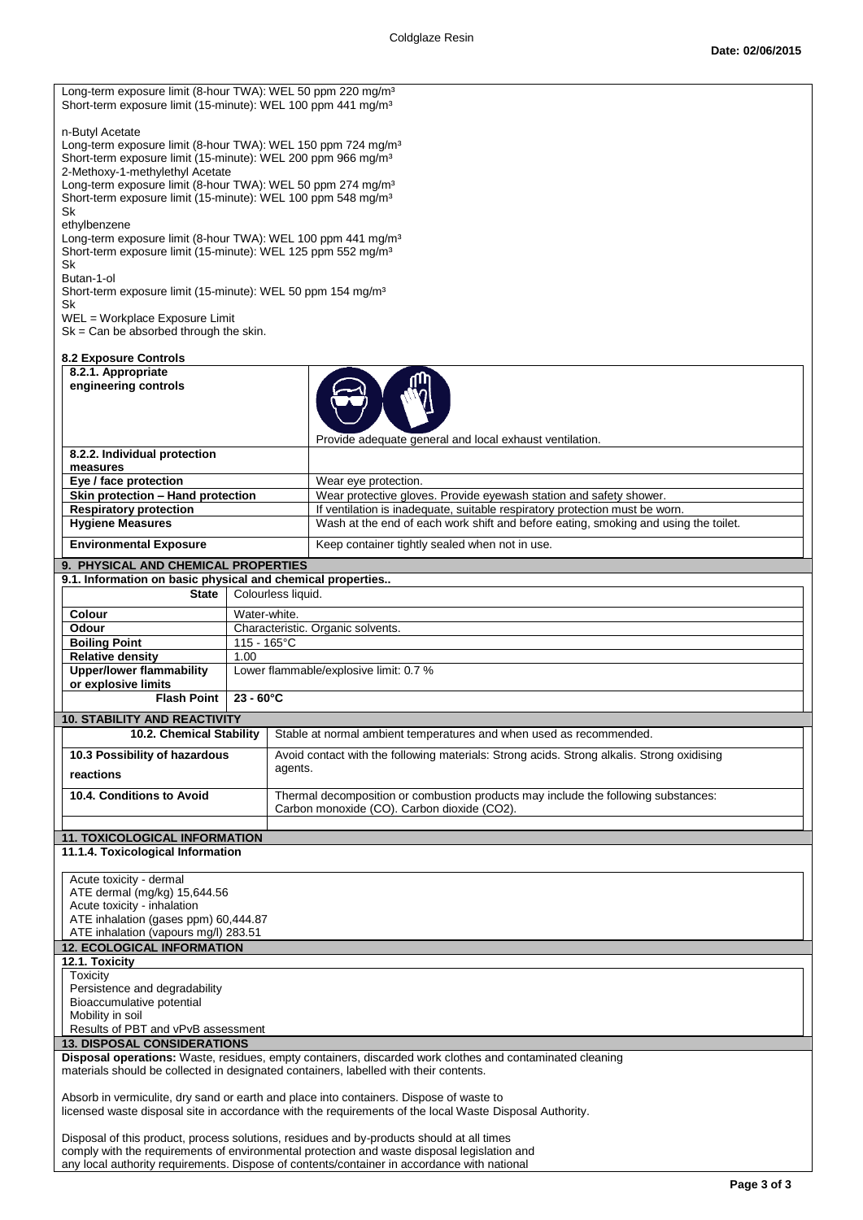| Long-term exposure limit (8-hour TWA): WEL 50 ppm 220 mg/m <sup>3</sup><br>Short-term exposure limit (15-minute): WEL 100 ppm 441 mg/m <sup>3</sup>                                                                                                                                                                                                                                                                                                                                                                                                                                                                                                                                                                                |                                                                                                |                                                                                                                                                                    |  |  |  |  |
|------------------------------------------------------------------------------------------------------------------------------------------------------------------------------------------------------------------------------------------------------------------------------------------------------------------------------------------------------------------------------------------------------------------------------------------------------------------------------------------------------------------------------------------------------------------------------------------------------------------------------------------------------------------------------------------------------------------------------------|------------------------------------------------------------------------------------------------|--------------------------------------------------------------------------------------------------------------------------------------------------------------------|--|--|--|--|
| n-Butyl Acetate<br>Long-term exposure limit (8-hour TWA): WEL 150 ppm 724 mg/m <sup>3</sup><br>Short-term exposure limit (15-minute): WEL 200 ppm 966 mg/m <sup>3</sup><br>2-Methoxy-1-methylethyl Acetate<br>Long-term exposure limit (8-hour TWA): WEL 50 ppm 274 mg/m <sup>3</sup><br>Short-term exposure limit (15-minute): WEL 100 ppm 548 mg/m <sup>3</sup><br>Sk<br>ethylbenzene<br>Long-term exposure limit (8-hour TWA): WEL 100 ppm 441 mg/m <sup>3</sup><br>Short-term exposure limit (15-minute): WEL 125 ppm 552 mg/m <sup>3</sup><br>Sk<br>Butan-1-ol<br>Short-term exposure limit (15-minute): WEL 50 ppm 154 mg/m <sup>3</sup><br>Sk<br>WEL = Workplace Exposure Limit<br>$Sk = Can be absorbed through the skin.$ |                                                                                                |                                                                                                                                                                    |  |  |  |  |
| <b>8.2 Exposure Controls</b>                                                                                                                                                                                                                                                                                                                                                                                                                                                                                                                                                                                                                                                                                                       |                                                                                                |                                                                                                                                                                    |  |  |  |  |
| 8.2.1. Appropriate<br>engineering controls                                                                                                                                                                                                                                                                                                                                                                                                                                                                                                                                                                                                                                                                                         |                                                                                                | Provide adequate general and local exhaust ventilation.                                                                                                            |  |  |  |  |
| 8.2.2. Individual protection                                                                                                                                                                                                                                                                                                                                                                                                                                                                                                                                                                                                                                                                                                       |                                                                                                |                                                                                                                                                                    |  |  |  |  |
| measures<br>Eye / face protection                                                                                                                                                                                                                                                                                                                                                                                                                                                                                                                                                                                                                                                                                                  |                                                                                                | Wear eye protection.                                                                                                                                               |  |  |  |  |
| Skin protection - Hand protection                                                                                                                                                                                                                                                                                                                                                                                                                                                                                                                                                                                                                                                                                                  |                                                                                                | Wear protective gloves. Provide eyewash station and safety shower.                                                                                                 |  |  |  |  |
| <b>Respiratory protection</b>                                                                                                                                                                                                                                                                                                                                                                                                                                                                                                                                                                                                                                                                                                      |                                                                                                | If ventilation is inadequate, suitable respiratory protection must be worn.<br>Wash at the end of each work shift and before eating, smoking and using the toilet. |  |  |  |  |
| <b>Hygiene Measures</b><br><b>Environmental Exposure</b>                                                                                                                                                                                                                                                                                                                                                                                                                                                                                                                                                                                                                                                                           |                                                                                                | Keep container tightly sealed when not in use.                                                                                                                     |  |  |  |  |
| 9. PHYSICAL AND CHEMICAL PROPERTIES                                                                                                                                                                                                                                                                                                                                                                                                                                                                                                                                                                                                                                                                                                |                                                                                                |                                                                                                                                                                    |  |  |  |  |
| 9.1. Information on basic physical and chemical properties                                                                                                                                                                                                                                                                                                                                                                                                                                                                                                                                                                                                                                                                         |                                                                                                |                                                                                                                                                                    |  |  |  |  |
| <b>State</b>                                                                                                                                                                                                                                                                                                                                                                                                                                                                                                                                                                                                                                                                                                                       | Colourless liquid.                                                                             |                                                                                                                                                                    |  |  |  |  |
| Colour<br>Odour                                                                                                                                                                                                                                                                                                                                                                                                                                                                                                                                                                                                                                                                                                                    | Water-white.                                                                                   |                                                                                                                                                                    |  |  |  |  |
| <b>Boiling Point</b>                                                                                                                                                                                                                                                                                                                                                                                                                                                                                                                                                                                                                                                                                                               | 115 - 165°C                                                                                    | Characteristic. Organic solvents.                                                                                                                                  |  |  |  |  |
| <b>Relative density</b>                                                                                                                                                                                                                                                                                                                                                                                                                                                                                                                                                                                                                                                                                                            | 1.00                                                                                           |                                                                                                                                                                    |  |  |  |  |
| <b>Upper/lower flammability</b>                                                                                                                                                                                                                                                                                                                                                                                                                                                                                                                                                                                                                                                                                                    |                                                                                                | Lower flammable/explosive limit: 0.7 %                                                                                                                             |  |  |  |  |
| or explosive limits<br><b>Flash Point</b>                                                                                                                                                                                                                                                                                                                                                                                                                                                                                                                                                                                                                                                                                          | $23 - 60^{\circ}C$                                                                             |                                                                                                                                                                    |  |  |  |  |
| <b>10. STABILITY AND REACTIVITY</b>                                                                                                                                                                                                                                                                                                                                                                                                                                                                                                                                                                                                                                                                                                |                                                                                                |                                                                                                                                                                    |  |  |  |  |
|                                                                                                                                                                                                                                                                                                                                                                                                                                                                                                                                                                                                                                                                                                                                    | 10.2. Chemical Stability   Stable at normal ambient temperatures and when used as recommended. |                                                                                                                                                                    |  |  |  |  |
| 10.3 Possibility of hazardous                                                                                                                                                                                                                                                                                                                                                                                                                                                                                                                                                                                                                                                                                                      |                                                                                                | Avoid contact with the following materials: Strong acids. Strong alkalis. Strong oxidising                                                                         |  |  |  |  |
| agents.<br>reactions                                                                                                                                                                                                                                                                                                                                                                                                                                                                                                                                                                                                                                                                                                               |                                                                                                |                                                                                                                                                                    |  |  |  |  |
| 10.4. Conditions to Avoid                                                                                                                                                                                                                                                                                                                                                                                                                                                                                                                                                                                                                                                                                                          |                                                                                                | Thermal decomposition or combustion products may include the following substances:<br>Carbon monoxide (CO). Carbon dioxide (CO2).                                  |  |  |  |  |
|                                                                                                                                                                                                                                                                                                                                                                                                                                                                                                                                                                                                                                                                                                                                    |                                                                                                |                                                                                                                                                                    |  |  |  |  |
| <b>11. TOXICOLOGICAL INFORMATION</b><br>11.1.4. Toxicological Information                                                                                                                                                                                                                                                                                                                                                                                                                                                                                                                                                                                                                                                          |                                                                                                |                                                                                                                                                                    |  |  |  |  |
|                                                                                                                                                                                                                                                                                                                                                                                                                                                                                                                                                                                                                                                                                                                                    |                                                                                                |                                                                                                                                                                    |  |  |  |  |
| Acute toxicity - dermal<br>ATE dermal (mg/kg) 15,644.56<br>Acute toxicity - inhalation<br>ATE inhalation (gases ppm) 60,444.87                                                                                                                                                                                                                                                                                                                                                                                                                                                                                                                                                                                                     |                                                                                                |                                                                                                                                                                    |  |  |  |  |
| ATE inhalation (vapours mg/l) 283.51                                                                                                                                                                                                                                                                                                                                                                                                                                                                                                                                                                                                                                                                                               |                                                                                                |                                                                                                                                                                    |  |  |  |  |
| <b>12. ECOLOGICAL INFORMATION</b><br>12.1. Toxicity                                                                                                                                                                                                                                                                                                                                                                                                                                                                                                                                                                                                                                                                                |                                                                                                |                                                                                                                                                                    |  |  |  |  |
| Toxicity<br>Persistence and degradability<br>Bioaccumulative potential<br>Mobility in soil<br>Results of PBT and vPvB assessment                                                                                                                                                                                                                                                                                                                                                                                                                                                                                                                                                                                                   |                                                                                                |                                                                                                                                                                    |  |  |  |  |
| <b>13. DISPOSAL CONSIDERATIONS</b>                                                                                                                                                                                                                                                                                                                                                                                                                                                                                                                                                                                                                                                                                                 |                                                                                                |                                                                                                                                                                    |  |  |  |  |
| Disposal operations: Waste, residues, empty containers, discarded work clothes and contaminated cleaning<br>materials should be collected in designated containers, labelled with their contents.                                                                                                                                                                                                                                                                                                                                                                                                                                                                                                                                  |                                                                                                |                                                                                                                                                                    |  |  |  |  |
| Absorb in vermiculite, dry sand or earth and place into containers. Dispose of waste to<br>licensed waste disposal site in accordance with the requirements of the local Waste Disposal Authority.                                                                                                                                                                                                                                                                                                                                                                                                                                                                                                                                 |                                                                                                |                                                                                                                                                                    |  |  |  |  |
| Disposal of this product, process solutions, residues and by-products should at all times<br>comply with the requirements of environmental protection and waste disposal legislation and<br>any local authority requirements. Dispose of contents/container in accordance with national                                                                                                                                                                                                                                                                                                                                                                                                                                            |                                                                                                |                                                                                                                                                                    |  |  |  |  |